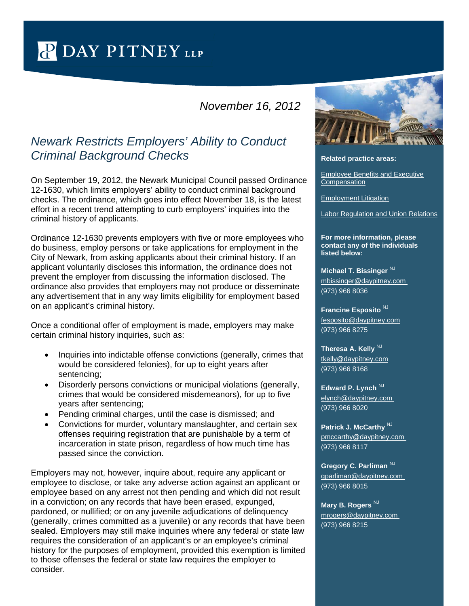PDAY PITNEY LLP

## *November 16, 2012*

## *Newark Restricts Employers' Ability to Conduct Criminal Background Checks*

On September 19, 2012, the Newark Municipal Council passed Ordinance 12-1630, which limits employers' ability to conduct criminal background checks. The ordinance, which goes into effect November 18, is the latest effort in a recent trend attempting to curb employers' inquiries into the criminal history of applicants.

Ordinance 12-1630 prevents employers with five or more employees who do business, employ persons or take applications for employment in the City of Newark, from asking applicants about their criminal history. If an applicant voluntarily discloses this information, the ordinance does not prevent the employer from discussing the information disclosed. The ordinance also provides that employers may not produce or disseminate any advertisement that in any way limits eligibility for employment based on an applicant's criminal history.

Once a conditional offer of employment is made, employers may make certain criminal history inquiries, such as:

- Inquiries into indictable offense convictions (generally, crimes that would be considered felonies), for up to eight years after sentencing;
- Disorderly persons convictions or municipal violations (generally, crimes that would be considered misdemeanors), for up to five years after sentencing;
- Pending criminal charges, until the case is dismissed; and
- Convictions for murder, voluntary manslaughter, and certain sex offenses requiring registration that are punishable by a term of incarceration in state prison, regardless of how much time has passed since the conviction.

Employers may not, however, inquire about, require any applicant or employee to disclose, or take any adverse action against an applicant or employee based on any arrest not then pending and which did not result in a conviction; on any records that have been erased, expunged, pardoned, or nullified; or on any juvenile adjudications of delinquency (generally, crimes committed as a juvenile) or any records that have been sealed. Employers may still make inquiries where any federal or state law requires the consideration of an applicant's or an employee's criminal history for the purposes of employment, provided this exemption is limited to those offenses the federal or state law requires the employer to consider.



## **Related practice areas:**

[Employee Benefits and Executive](http://www.daypitney.com/practices/practice-detail.aspx?pid=30)  **[Compensation](http://www.daypitney.com/practices/practice-detail.aspx?pid=30)** 

[Employment Litigation](http://www.daypitney.com/practices/practice-detail.aspx?pid=31)

[Labor Regulation and Union Relations](http://www.daypitney.com/practices/practice-detail.aspx?pid=72)

**For more information, please contact any of the individuals listed below:** 

**Michael T. Bissinger**<sup>NJ</sup> [mbissinger@daypitney.com](mailto:mbissinger@daypitney.com)  (973) 966 8036

**Francine Esposito** NJ [fesposito@daypitney.com](mailto:fesposito@daypitney.com) (973) 966 8275

**Theresa A. Kelly NJ** [tkelly@daypitney.com](mailto:tkelly@daypitney.com) (973) 966 8168

**Edward P. Lynch**<sup>NJ</sup> [elynch@daypitney.com](mailto:elynch@daypitney.com)  (973) 966 8020

**Patrick J. McCarthy** NJ [pmccarthy@daypitney.com](mailto:pmccarthy@daypitney.com)  (973) 966 8117

**Gregory C. Parliman NJ** [gparliman@daypitney.com](mailto:gparliman@daypitney.com)  (973) 966 8015

**Mary B. Rogers** NJ [mrogers@daypitney.com](mailto:mrogers@daypitney.com)  (973) 966 8215